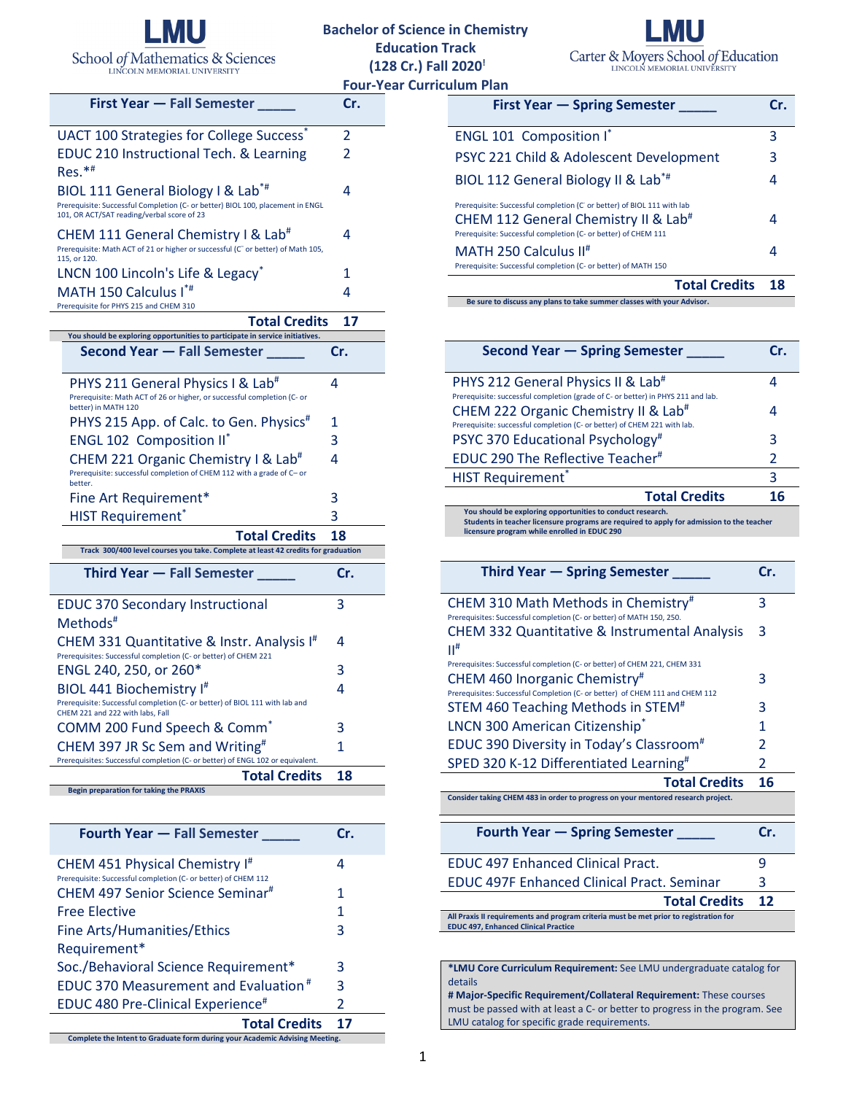

## **Bachelor of Science in Chemistry Education Track (128 Cr.) Fall 2020! Four-Year Curric**



|                                                                                                                              | гоиг           |
|------------------------------------------------------------------------------------------------------------------------------|----------------|
| <b>First Year – Fall Semester</b>                                                                                            | Cr.            |
| UACT 100 Strategies for College Success <sup>®</sup>                                                                         | 2              |
| <b>EDUC 210 Instructional Tech. &amp; Learning</b>                                                                           | $\mathfrak{p}$ |
| $Res.*#$                                                                                                                     |                |
| BIOL 111 General Biology I & Lab <sup>*#</sup>                                                                               | 4              |
| Prerequisite: Successful Completion (C- or better) BIOL 100, placement in ENGL<br>101, OR ACT/SAT reading/verbal score of 23 |                |
| CHEM 111 General Chemistry I & Lab <sup>#</sup>                                                                              | 4              |
| Prerequisite: Math ACT of 21 or higher or successful (C <sup>-</sup> or better) of Math 105,<br>115, or 120.                 |                |
| LNCN 100 Lincoln's Life & Legacy*                                                                                            | 1              |
| MATH 150 Calculus I*#                                                                                                        | 4              |
| Prerequisite for PHYS 215 and CHEM 310                                                                                       |                |
| <b>Total Credits</b>                                                                                                         | 17             |
| You should be exploring opportunities to participate in service initiatives.                                                 |                |
| <b>Second Year - Fall Semester</b>                                                                                           | Cr.            |
| PHYS 211 General Physics I & Lab <sup>#</sup>                                                                                | 4              |
| Prerequisite: Math ACT of 26 or higher, or successful completion (C- or<br>better) in MATH 120                               |                |
|                                                                                                                              |                |

| DELLEI) III MATH 120                                                                                            |     |
|-----------------------------------------------------------------------------------------------------------------|-----|
| PHYS 215 App. of Calc. to Gen. Physics <sup>#</sup>                                                             | 1   |
| <b>ENGL 102 Composition II</b> *                                                                                | 3   |
| CHEM 221 Organic Chemistry I & Lab <sup>#</sup>                                                                 | 4   |
| Prerequisite: successful completion of CHEM 112 with a grade of C- or<br>better.                                |     |
| Fine Art Requirement*                                                                                           | 3   |
| <b>HIST Requirement*</b>                                                                                        | 3   |
| <b>Total Credits</b>                                                                                            | 18  |
| Track 300/400 level courses you take. Complete at least 42 credits for graduation                               |     |
| <b>Third Year – Fall Semester</b>                                                                               | Cr. |
| <b>EDUC 370 Secondary Instructional</b>                                                                         | 3   |
| Methods <sup>#</sup>                                                                                            |     |
| CHEM 331 Quantitative & Instr. Analysis I <sup>#</sup>                                                          | 4   |
| Prerequisites: Successful completion (C- or better) of CHEM 221                                                 |     |
| ENGL 240, 250, or 260*                                                                                          | 3   |
| BIOL 441 Biochemistry I#                                                                                        | 4   |
| Prerequisite: Successful completion (C- or better) of BIOL 111 with lab and<br>CHEM 221 and 222 with labs, Fall |     |
| COMM 200 Fund Speech & Comm <sup>®</sup>                                                                        |     |
| CHEM 397 JR Sc Sem and Writing <sup>#</sup>                                                                     | 3   |
|                                                                                                                 | 1   |
| Prerequisites: Successful completion (C- or better) of ENGL 102 or equivalent.                                  |     |

**Begin preparation for taking the PRAXIS**

| <b>Fourth Year - Fall Semester</b>                                                                           | Cr.                      |  |  |
|--------------------------------------------------------------------------------------------------------------|--------------------------|--|--|
| CHEM 451 Physical Chemistry I <sup>#</sup><br>Prerequisite: Successful completion (C- or better) of CHEM 112 | 4                        |  |  |
| CHEM 497 Senior Science Seminar <sup>#</sup>                                                                 | 1                        |  |  |
| <b>Free Elective</b>                                                                                         | 1                        |  |  |
| Fine Arts/Humanities/Ethics                                                                                  | 3                        |  |  |
| Requirement*                                                                                                 |                          |  |  |
| Soc./Behavioral Science Requirement*                                                                         | 3                        |  |  |
| <b>EDUC370 Measurement and Evaluation</b> #                                                                  | 3                        |  |  |
| EDUC 480 Pre-Clinical Experience <sup>#</sup>                                                                | $\overline{\phantom{a}}$ |  |  |
| <b>Total Credits</b>                                                                                         | 17                       |  |  |
| Complete the Intent to Graduate form during your Academic Advising Meeting.                                  |                          |  |  |

| ulum Plan                                                                                                                                                                                     |     |
|-----------------------------------------------------------------------------------------------------------------------------------------------------------------------------------------------|-----|
| <b>First Year – Spring Semester</b>                                                                                                                                                           | Cr. |
| <b>ENGL 101 Composition I*</b>                                                                                                                                                                | 3   |
| PSYC 221 Child & Adolescent Development                                                                                                                                                       | 3   |
| BIOL 112 General Biology II & Lab*#                                                                                                                                                           |     |
| Prerequisite: Successful completion (C' or better) of BIOL 111 with lab<br>CHEM 112 General Chemistry II & Lab <sup>#</sup><br>Prerequisite: Successful completion (C- or better) of CHEM 111 |     |
| MATH 250 Calculus II <sup>#</sup><br>Prerequisite: Successful completion (C- or better) of MATH 150                                                                                           |     |

**Total Credits 18**

**Be sure to discuss any plans to take summer classes with your Advisor.**

| <b>Second Year – Spring Semester</b>                                                                                               | Cr. |
|------------------------------------------------------------------------------------------------------------------------------------|-----|
| PHYS 212 General Physics II & Lab <sup>#</sup><br>Prerequisite: successful completion (grade of C- or better) in PHYS 211 and lab. |     |
| CHEM 222 Organic Chemistry II & Lab <sup>#</sup><br>Prerequisite: successful completion (C- or better) of CHEM 221 with lab.       |     |
| PSYC 370 Educational Psychology <sup>#</sup>                                                                                       | 3   |
| EDUC 290 The Reflective Teacher#                                                                                                   | 2   |
| <b>HIST Requirement</b> *                                                                                                          | 3   |
| <b>Total Credits</b>                                                                                                               |     |
| You should be exploring opportunities to conduct research.                                                                         |     |

**You should be exploring opportunities to conduct research. Students in teacher licensure programs are required to apply for admission to the teacher licensure program while enrolled in EDUC 290**

| Third Year – Spring Semester                                                                                              | Cr.            |
|---------------------------------------------------------------------------------------------------------------------------|----------------|
| CHEM 310 Math Methods in Chemistry#<br>Prerequisites: Successful completion (C- or better) of MATH 150, 250.              | 3              |
| CHEM 332 Quantitative & Instrumental Analysis<br>$\Pi^{\#}$                                                               | 3              |
| Prerequisites: Successful completion (C- or better) of CHEM 221, CHEM 331                                                 |                |
| CHEM 460 Inorganic Chemistry <sup>#</sup><br>Prerequisites: Successful Completion (C- or better) of CHEM 111 and CHEM 112 | 3              |
| STEM 460 Teaching Methods in STEM <sup>#</sup>                                                                            | 3              |
| LNCN 300 American Citizenship*                                                                                            | 1              |
| EDUC 390 Diversity in Today's Classroom <sup>#</sup>                                                                      | $\mathcal{P}$  |
| SPED 320 K-12 Differentiated Learning <sup>#</sup>                                                                        | $\overline{2}$ |
| <b>Total Credits</b>                                                                                                      | 16             |
| Consider taking CHEM 483 in order to progress on your mentored research project.                                          |                |
| <b>Fourth Year – Spring Semester</b>                                                                                      | Cr.            |
| <b>EDUC 497 Enhanced Clinical Pract.</b>                                                                                  | 9              |
| <b>EDUC 497F Enhanced Clinical Pract. Seminar</b>                                                                         | 3              |
| <b>Total Credits</b><br>a continuant a concern to a concern continuation of<br>All models it as acceptance and a soul of  | 12             |

**All Praxis II requirements and program criteria must be met prior to registration for EDUC 497, Enhanced Clinical Practice**

**\*LMU Core Curriculum Requirement:** See LMU undergraduate catalog for details

**# Major-Specific Requirement/Collateral Requirement:** These courses must be passed with at least a C- or better to progress in the program. See LMU catalog for specific grade requirements.